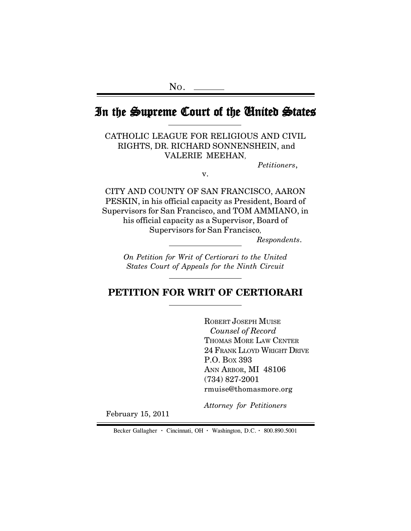# In the Supreme Court of the United States Court of the States

CATHOLIC LEAGUE FOR RELIGIOUS AND CIVIL RIGHTS, DR. RICHARD SONNENSHEIN, and VALERIE MEEHAN,

*Petitioners*,

v.

CITY AND COUNTY OF SAN FRANCISCO, AARON PESKIN, in his official capacity as President, Board of Supervisors for San Francisco, and TOM AMMIANO, in his official capacity as a Supervisor, Board of Supervisors for San Francisco,

*Respondents*.

*On Petition for Writ of Certiorari to the United States Court of Appeals for the Ninth Circuit*

## **PETITION FOR WRIT OF CERTIORARI**

ROBERT JOSEPH MUISE  *Counsel of Record* THOMAS MORE LAW CENTER 24 FRANK LLOYD WRIGHT DRIVE P.O. BOX 393 ANN ARBOR, MI 48106 (734) 827-2001 rmuise@thomasmore.org

*Attorney for Petitioners*

February 15, 2011

Becker Gallagher **·** Cincinnati, OH **·** Washington, D.C. **·** 800.890.5001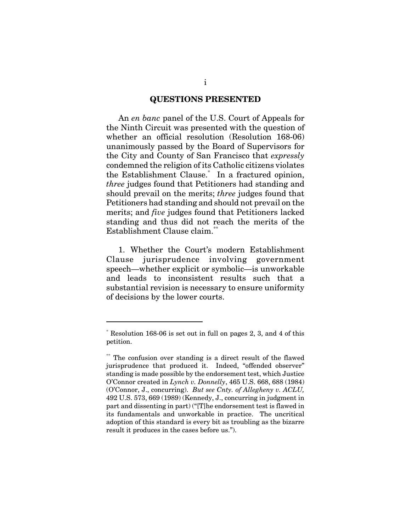#### **QUESTIONS PRESENTED**

An *en banc* panel of the U.S. Court of Appeals for the Ninth Circuit was presented with the question of whether an official resolution (Resolution 168-06) unanimously passed by the Board of Supervisors for the City and County of San Francisco that *expressly* condemned the religion of its Catholic citizens violates the Establishment Clause.\* In a fractured opinion, *three* judges found that Petitioners had standing and should prevail on the merits; *three* judges found that Petitioners had standing and should not prevail on the merits; and *five* judges found that Petitioners lacked standing and thus did not reach the merits of the Establishment Clause claim.<sup>\*\*</sup>

1. Whether the Court's modern Establishment Clause jurisprudence involving government speech—whether explicit or symbolic—is unworkable and leads to inconsistent results such that a substantial revision is necessary to ensure uniformity of decisions by the lower courts.

<sup>\*</sup> Resolution 168-06 is set out in full on pages 2, 3, and 4 of this petition.

<sup>\*\*\*\*</sup> The confusion over standing is a direct result of the flawed jurisprudence that produced it. Indeed, "offended observer" standing is made possible by the endorsement test, which Justice O'Connor created in *Lynch v. Donnelly*, 465 U.S. 668, 688 (1984) (O'Connor, J., concurring). *But see Cnty. of Allegheny v. ACLU,* 492 U.S. 573, 669 (1989) (Kennedy, J., concurring in judgment in part and dissenting in part) ("[T]he endorsement test is flawed in its fundamentals and unworkable in practice. The uncritical adoption of this standard is every bit as troubling as the bizarre result it produces in the cases before us.").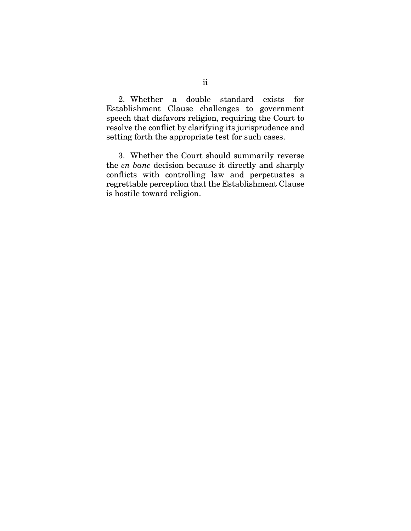2. Whether a double standard exists for Establishment Clause challenges to government speech that disfavors religion, requiring the Court to resolve the conflict by clarifying its jurisprudence and setting forth the appropriate test for such cases.

3. Whether the Court should summarily reverse the *en banc* decision because it directly and sharply conflicts with controlling law and perpetuates a regrettable perception that the Establishment Clause is hostile toward religion.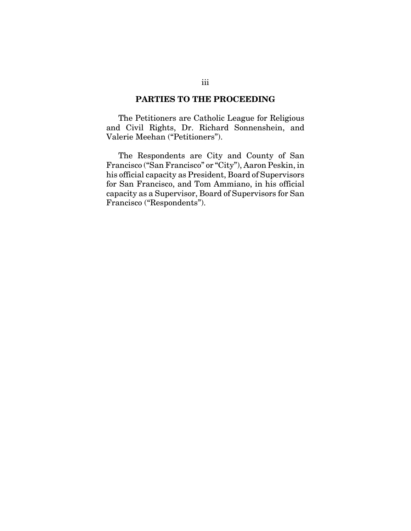#### **PARTIES TO THE PROCEEDING**

The Petitioners are Catholic League for Religious and Civil Rights, Dr. Richard Sonnenshein, and Valerie Meehan ("Petitioners").

The Respondents are City and County of San Francisco ("San Francisco" or "City"), Aaron Peskin, in his official capacity as President, Board of Supervisors for San Francisco, and Tom Ammiano, in his official capacity as a Supervisor, Board of Supervisors for San Francisco ("Respondents").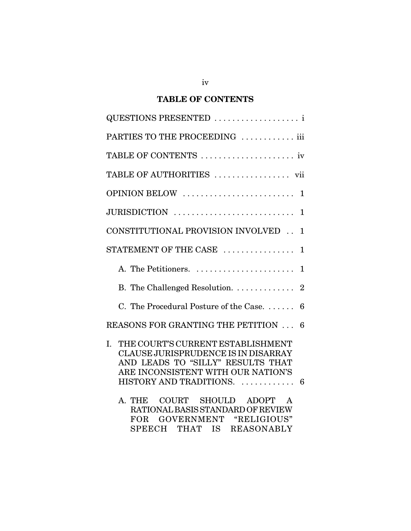## **TABLE OF CONTENTS**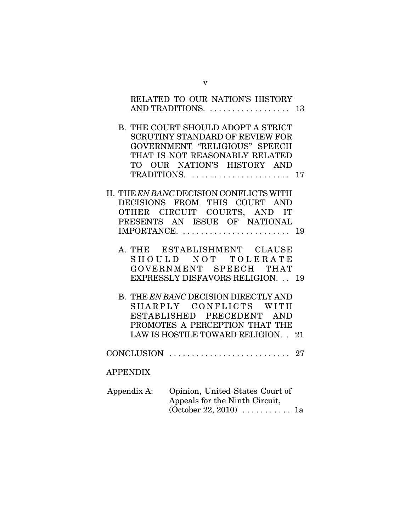|                 | RELATED TO OUR NATION'S HISTORY                                                                                                                                                                   |    |
|-----------------|---------------------------------------------------------------------------------------------------------------------------------------------------------------------------------------------------|----|
|                 |                                                                                                                                                                                                   |    |
|                 | B. THE COURT SHOULD ADOPT A STRICT<br><b>SCRUTINY STANDARD OF REVIEW FOR</b><br>GOVERNMENT "RELIGIOUS" SPEECH<br>THAT IS NOT REASONABLY RELATED<br>TO OUR NATION'S HISTORY AND<br>TRADITIONS.  17 |    |
|                 | II. THE EN BANC DECISION CONFLICTS WITH                                                                                                                                                           |    |
|                 | DECISIONS FROM THIS COURT AND                                                                                                                                                                     |    |
|                 | OTHER CIRCUIT COURTS, AND IT<br>PRESENTS AN ISSUE OF NATIONAL                                                                                                                                     |    |
|                 | IMPORTANCE.                                                                                                                                                                                       | 19 |
|                 | A. THE ESTABLISHMENT CLAUSE<br>SHOULD NOT TOLERATE<br>GOVERNMENT SPEECH THAT<br><b>EXPRESSLY DISFAVORS RELIGION. 19</b><br>B. THE EN BANC DECISION DIRECTLY AND<br>SHARPLY CONFLICTS WITH         |    |
|                 | ESTABLISHED PRECEDENT AND<br>PROMOTES A PERCEPTION THAT THE                                                                                                                                       |    |
|                 | LAW IS HOSTILE TOWARD RELIGION. . 21                                                                                                                                                              |    |
|                 |                                                                                                                                                                                                   |    |
| <b>APPENDIX</b> |                                                                                                                                                                                                   |    |
| Appendix A:     | Opinion, United States Court of<br>Appeals for the Ninth Circuit,<br>$(October 22, 2010) \dots 1a$                                                                                                |    |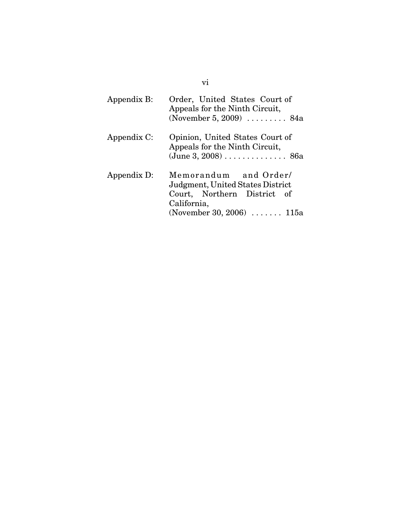| Appendix B: | Order, United States Court of<br>Appeals for the Ninth Circuit,<br>(November 5, 2009) $\ldots$ 84a                                                |
|-------------|---------------------------------------------------------------------------------------------------------------------------------------------------|
| Appendix C: | Opinion, United States Court of<br>Appeals for the Ninth Circuit,<br>$(June 3, 2008) \ldots \ldots \ldots \ldots 86a$                             |
| Appendix D: | Memorandum and Order/<br>Judgment, United States District<br>Court, Northern District of<br>California,<br>(November 30, 2006) $\dots \dots$ 115a |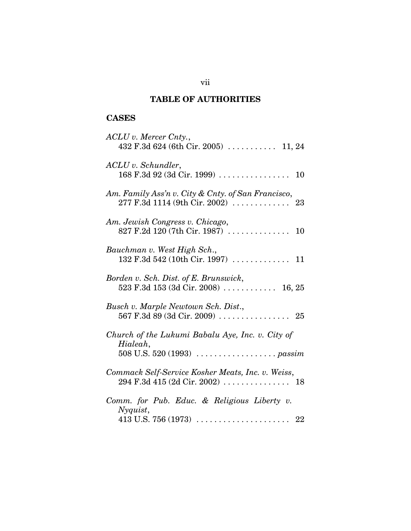## **TABLE OF AUTHORITIES**

## **CASES**

| ACLU v. Mercer Cnty.,<br>432 F.3d 624 (6th Cir. 2005)  11, 24                                             |
|-----------------------------------------------------------------------------------------------------------|
| ACLU v. Schundler,                                                                                        |
| Am. Family Ass'n v. City & Cnty. of San Francisco,                                                        |
| Am. Jewish Congress v. Chicago,                                                                           |
| Bauchman v. West High Sch.,                                                                               |
| Borden v. Sch. Dist. of E. Brunswick,<br>523 F.3d 153 (3d Cir. 2008)  16, 25                              |
| Busch v. Marple Newtown Sch. Dist.,<br>567 F.3d 89 (3d Cir. 2009) $\ldots \ldots \ldots \ldots \ldots$ 25 |
| Church of the Lukumi Babalu Aye, Inc. v. City of<br>Hialeah,                                              |
| Commack Self-Service Kosher Meats, Inc. v. Weiss,                                                         |
| Comm. for Pub. Educ. & Religious Liberty v.<br>Nyquist,                                                   |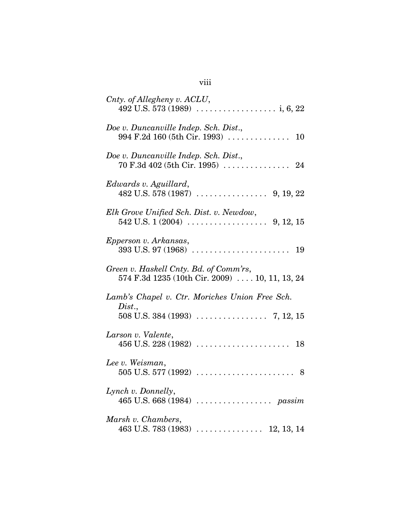| Cnty. of Allegheny v. ACLU,                                                                    |
|------------------------------------------------------------------------------------------------|
| Doe v. Duncanville Indep. Sch. Dist.,                                                          |
| Doe v. Duncanville Indep. Sch. Dist.,                                                          |
| Edwards v. Aguillard,                                                                          |
| Elk Grove Unified Sch. Dist. v. Newdow,                                                        |
| Epperson v. Arkansas,                                                                          |
| Green v. Haskell Cnty. Bd. of Comm'rs,<br>574 F.3d 1235 (10th Cir. 2009)  10, 11, 13, 24       |
| Lamb's Chapel v. Ctr. Moriches Union Free Sch.                                                 |
| Dist.,<br>$508 \text{ U.S. } 384 \text{ (1993)} \dots \dots \dots \dots \dots \dots 7, 12, 15$ |
| Larson v. Valente,                                                                             |
| Lee v. Weisman,                                                                                |
| Lynch v. Donnelly,                                                                             |
| Marsh v. Chambers,                                                                             |

viii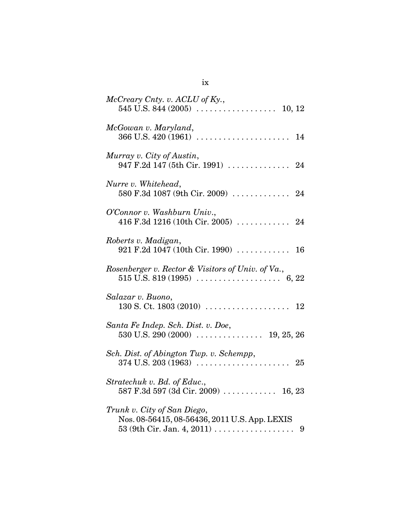| McCreary Cnty. v. ACLU of Ky.,                                               |
|------------------------------------------------------------------------------|
| McGowan v. Maryland,                                                         |
| Murray v. City of Austin,<br>947 F.2d 147 (5th Cir. 1991)  24                |
| Nurre v. Whitehead,<br>580 F.3d 1087 (9th Cir. 2009)  24                     |
| O'Connor v. Washburn Univ.,<br>416 F.3d 1216 (10th Cir. 2005)  24            |
| Roberts v. Madigan,<br>921 F.2d 1047 (10th Cir. 1990)  16                    |
| Rosenberger v. Rector & Visitors of Univ. of Va.,                            |
| Salazar v. Buono,                                                            |
| Santa Fe Indep. Sch. Dist. v. Doe,                                           |
| Sch. Dist. of Abington Twp. v. Schempp,                                      |
| Stratechuk v. Bd. of Educ.,<br>587 F.3d 597 (3d Cir. 2009)  16, 23           |
| Trunk v. City of San Diego,<br>Nos. 08-56415, 08-56436, 2011 U.S. App. LEXIS |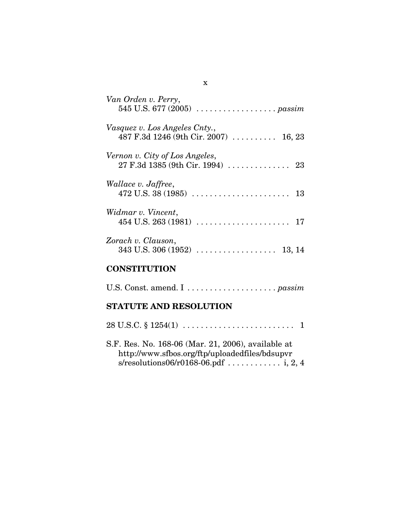| Van Orden v. Perry,                                                    |
|------------------------------------------------------------------------|
| Vasquez v. Los Angeles Cnty.,<br>487 F.3d 1246 (9th Cir. 2007)  16, 23 |
| Vernon v. City of Los Angeles,                                         |
| Wallace v. Jaffree,<br>$472$ U.S. 38 (1985)<br>13                      |
| Widmar v. Vincent,<br>$454$ U.S. $263$ (1981)<br>17                    |
| Zorach v. Clauson,<br>$343$ U.S. $306(1952)$<br>13, 14                 |

## **CONSTITUTION**

## **STATUTE AND RESOLUTION**

| S.F. Res. No. 168-06 (Mar. 21, 2006), available at<br>http://www.sfbos.org/ftp/uploadedfiles/bdsupvr |  |
|------------------------------------------------------------------------------------------------------|--|
|                                                                                                      |  |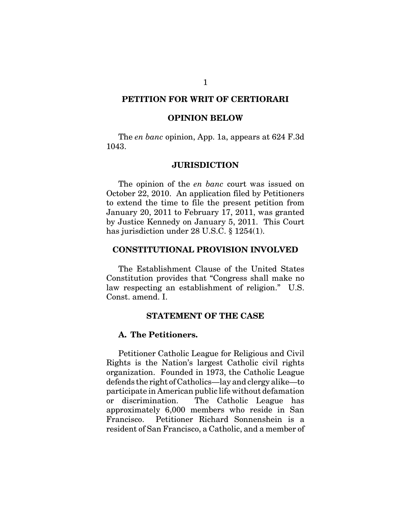### **PETITION FOR WRIT OF CERTIORARI**

#### **OPINION BELOW**

The *en banc* opinion, App. 1a, appears at 624 F.3d 1043.

#### **JURISDICTION**

The opinion of the *en banc* court was issued on October 22, 2010. An application filed by Petitioners to extend the time to file the present petition from January 20, 2011 to February 17, 2011, was granted by Justice Kennedy on January 5, 2011. This Court has jurisdiction under 28 U.S.C. § 1254(1).

#### **CONSTITUTIONAL PROVISION INVOLVED**

The Establishment Clause of the United States Constitution provides that "Congress shall make no law respecting an establishment of religion." U.S. Const. amend. I.

#### **STATEMENT OF THE CASE**

#### **A. The Petitioners.**

Petitioner Catholic League for Religious and Civil Rights is the Nation's largest Catholic civil rights organization. Founded in 1973, the Catholic League defends the right of Catholics—lay and clergy alike—to participate in American public life without defamation or discrimination. The Catholic League has approximately 6,000 members who reside in San Francisco. Petitioner Richard Sonnenshein is a resident of San Francisco, a Catholic, and a member of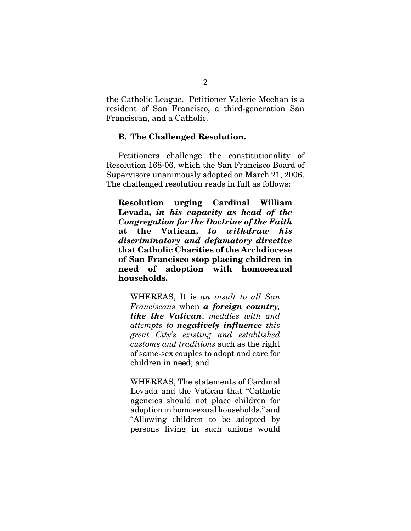the Catholic League. Petitioner Valerie Meehan is a resident of San Francisco, a third-generation San Franciscan, and a Catholic.

### **B. The Challenged Resolution.**

Petitioners challenge the constitutionality of Resolution 168-06, which the San Francisco Board of Supervisors unanimously adopted on March 21, 2006. The challenged resolution reads in full as follows:

**Resolution urging Cardinal William Levada,** *in his capacity as head of the Congregation for the Doctrine of the Faith* **at the Vatican,** *to withdraw his discriminatory and defamatory directive* **that Catholic Charities of the Archdiocese of San Francisco stop placing children in need of adoption with homosexual households.**

WHEREAS, It is *an insult to all San Franciscans* when *a foreign country, like the Vatican*, *meddles with and attempts to negatively influence this great City's existing and established customs and traditions* such as the right of same-sex couples to adopt and care for children in need; and

WHEREAS, The statements of Cardinal Levada and the Vatican that "Catholic agencies should not place children for adoption in homosexual households," and "Allowing children to be adopted by persons living in such unions would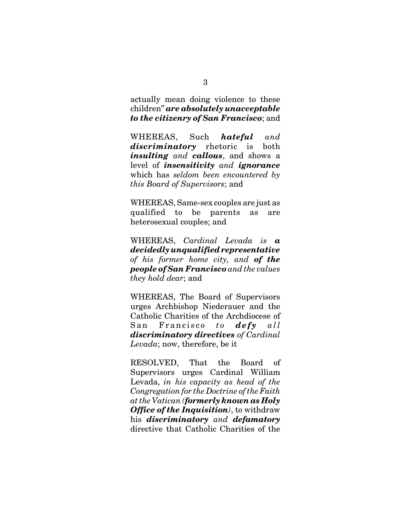actually mean doing violence to these children" *are absolutely unacceptable to the citizenry of San Francisco*; and

WHEREAS, Such *hateful and discriminatory* rhetoric is both *insulting and callous*, and shows a level of *insensitivity and ignorance* which has *seldom been encountered by this Board of Supervisors*; and

WHEREAS, Same-sex couples are just as qualified to be parents as are heterosexual couples; and

WHEREAS, *Cardinal Levada is a decidedly unqualified representative of his former home city, and of the people of San Francisco and the values they hold dear*; and

WHEREAS, The Board of Supervisors urges Archbishop Niederauer and the Catholic Charities of the Archdiocese of San Francisco *to defy all discriminatory directives of Cardinal Levada*; now, therefore, be it

RESOLVED, That the Board of Supervisors urges Cardinal William Levada, *in his capacity as head of the Congregation for the Doctrine of the Faith at the Vatican (formerly known as Holy Office of the Inquisition)*, to withdraw his *discriminatory and defamatory* directive that Catholic Charities of the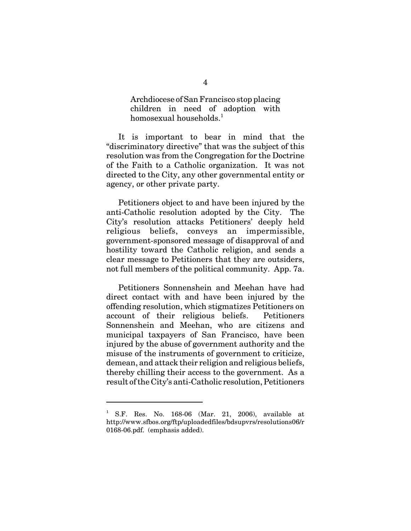Archdiocese of San Francisco stop placing children in need of adoption with homosexual households. $<sup>1</sup>$ </sup>

It is important to bear in mind that the "discriminatory directive" that was the subject of this resolution was from the Congregation for the Doctrine of the Faith to a Catholic organization. It was not directed to the City, any other governmental entity or agency, or other private party.

Petitioners object to and have been injured by the anti-Catholic resolution adopted by the City. The City's resolution attacks Petitioners' deeply held religious beliefs, conveys an impermissible, government-sponsored message of disapproval of and hostility toward the Catholic religion, and sends a clear message to Petitioners that they are outsiders, not full members of the political community. App. 7a.

Petitioners Sonnenshein and Meehan have had direct contact with and have been injured by the offending resolution, which stigmatizes Petitioners on account of their religious beliefs. Petitioners Sonnenshein and Meehan, who are citizens and municipal taxpayers of San Francisco, have been injured by the abuse of government authority and the misuse of the instruments of government to criticize, demean, and attack their religion and religious beliefs, thereby chilling their access to the government. As a result of the City's anti-Catholic resolution, Petitioners

<sup>1</sup> S.F. Res. No. 168-06 (Mar. 21, 2006), available at http://www.sfbos.org/ftp/uploadedfiles/bdsupvrs/resolutions06/r 0168-06.pdf. (emphasis added).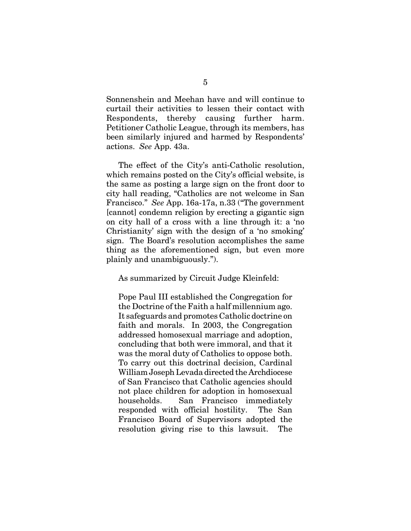Sonnenshein and Meehan have and will continue to curtail their activities to lessen their contact with Respondents, thereby causing further harm. Petitioner Catholic League, through its members, has been similarly injured and harmed by Respondents' actions. *See* App. 43a.

The effect of the City's anti-Catholic resolution, which remains posted on the City's official website, is the same as posting a large sign on the front door to city hall reading, "Catholics are not welcome in San Francisco." *See* App. 16a-17a, n.33 ("The government [cannot] condemn religion by erecting a gigantic sign on city hall of a cross with a line through it: a 'no Christianity' sign with the design of a 'no smoking' sign. The Board's resolution accomplishes the same thing as the aforementioned sign, but even more plainly and unambiguously.").

As summarized by Circuit Judge Kleinfeld:

Pope Paul III established the Congregation for the Doctrine of the Faith a half millennium ago. It safeguards and promotes Catholic doctrine on faith and morals. In 2003, the Congregation addressed homosexual marriage and adoption, concluding that both were immoral, and that it was the moral duty of Catholics to oppose both. To carry out this doctrinal decision, Cardinal William Joseph Levada directed the Archdiocese of San Francisco that Catholic agencies should not place children for adoption in homosexual households. San Francisco immediately responded with official hostility. The San Francisco Board of Supervisors adopted the resolution giving rise to this lawsuit. The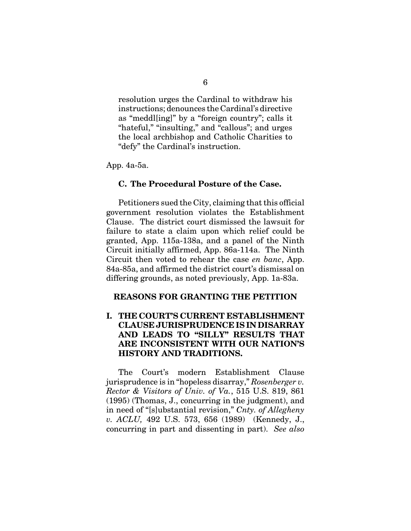resolution urges the Cardinal to withdraw his instructions; denounces the Cardinal's directive as "meddl[ing]" by a "foreign country"; calls it "hateful," "insulting," and "callous"; and urges the local archbishop and Catholic Charities to "defy" the Cardinal's instruction.

App. 4a-5a.

### **C. The Procedural Posture of the Case.**

Petitioners sued the City, claiming that this official government resolution violates the Establishment Clause. The district court dismissed the lawsuit for failure to state a claim upon which relief could be granted, App. 115a-138a, and a panel of the Ninth Circuit initially affirmed, App. 86a-114a. The Ninth Circuit then voted to rehear the case *en banc*, App. 84a-85a, and affirmed the district court's dismissal on differing grounds, as noted previously, App. 1a-83a.

### **REASONS FOR GRANTING THE PETITION**

## **I. THE COURT'S CURRENT ESTABLISHMENT CLAUSE JURISPRUDENCE IS IN DISARRAY AND LEADS TO "SILLY" RESULTS THAT ARE INCONSISTENT WITH OUR NATION'S HISTORY AND TRADITIONS.**

The Court's modern Establishment Clause jurisprudence is in "hopeless disarray," *Rosenberger v. Rector & Visitors of Univ. of Va.*, 515 U.S. 819, 861 (1995) (Thomas, J., concurring in the judgment), and in need of "[s]ubstantial revision," *Cnty. of Allegheny v. ACLU,* 492 U.S. 573, 656 (1989) (Kennedy, J., concurring in part and dissenting in part). *See also*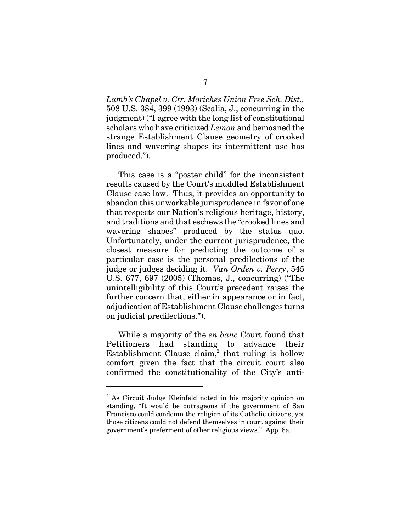*Lamb's Chapel v. Ctr. Moriches Union Free Sch. Dist.,* 508 U.S. 384, 399 (1993) (Scalia, J., concurring in the judgment) ("I agree with the long list of constitutional scholars who have criticized *Lemon* and bemoaned the strange Establishment Clause geometry of crooked lines and wavering shapes its intermittent use has produced.").

This case is a "poster child" for the inconsistent results caused by the Court's muddled Establishment Clause case law. Thus, it provides an opportunity to abandon this unworkable jurisprudence in favor of one that respects our Nation's religious heritage, history, and traditions and that eschews the "crooked lines and wavering shapes" produced by the status quo. Unfortunately, under the current jurisprudence, the closest measure for predicting the outcome of a particular case is the personal predilections of the judge or judges deciding it. *Van Orden v. Perry*, 545 U.S. 677, 697 (2005) (Thomas, J., concurring) ("The unintelligibility of this Court's precedent raises the further concern that, either in appearance or in fact, adjudication of Establishment Clause challenges turns on judicial predilections.").

While a majority of the *en banc* Court found that Petitioners had standing to advance their Establishment Clause claim,<sup>2</sup> that ruling is hollow comfort given the fact that the circuit court also confirmed the constitutionality of the City's anti-

<sup>&</sup>lt;sup>2</sup> As Circuit Judge Kleinfeld noted in his majority opinion on standing, "It would be outrageous if the government of San Francisco could condemn the religion of its Catholic citizens, yet those citizens could not defend themselves in court against their government's preferment of other religious views." App. 8a.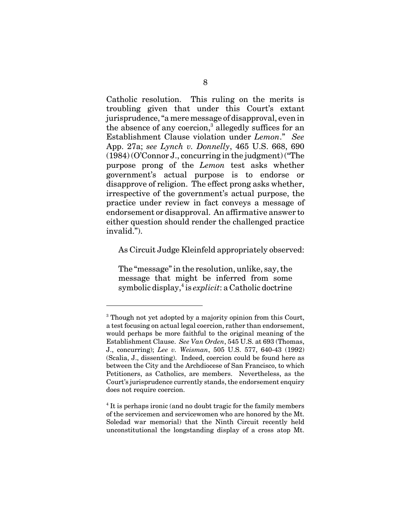Catholic resolution. This ruling on the merits is troubling given that under this Court's extant jurisprudence, "a mere message of disapproval, even in the absence of any coercion,<sup>3</sup> allegedly suffices for an Establishment Clause violation under *Lemon*." *See* App. 27a; *see Lynch v. Donnelly*, 465 U.S. 668, 690 (1984) (O'Connor J., concurring in the judgment) ("The purpose prong of the *Lemon* test asks whether government's actual purpose is to endorse or disapprove of religion. The effect prong asks whether, irrespective of the government's actual purpose, the practice under review in fact conveys a message of endorsement or disapproval. An affirmative answer to either question should render the challenged practice invalid.").

As Circuit Judge Kleinfeld appropriately observed:

The "message" in the resolution, unlike, say, the message that might be inferred from some symbolic display,<sup>4</sup> is *explicit*: a Catholic doctrine

<sup>&</sup>lt;sup>3</sup> Though not yet adopted by a majority opinion from this Court, a test focusing on actual legal coercion, rather than endorsement, would perhaps be more faithful to the original meaning of the Establishment Clause. *See Van Orden*, 545 U.S. at 693 (Thomas, J., concurring); *Lee v. Weisman*, 505 U.S. 577, 640-43 (1992) (Scalia, J., dissenting). Indeed, coercion could be found here as between the City and the Archdiocese of San Francisco, to which Petitioners, as Catholics, are members. Nevertheless, as the Court's jurisprudence currently stands, the endorsement enquiry does not require coercion.

<sup>&</sup>lt;sup>4</sup> It is perhaps ironic (and no doubt tragic for the family members of the servicemen and servicewomen who are honored by the Mt. Soledad war memorial) that the Ninth Circuit recently held unconstitutional the longstanding display of a cross atop Mt.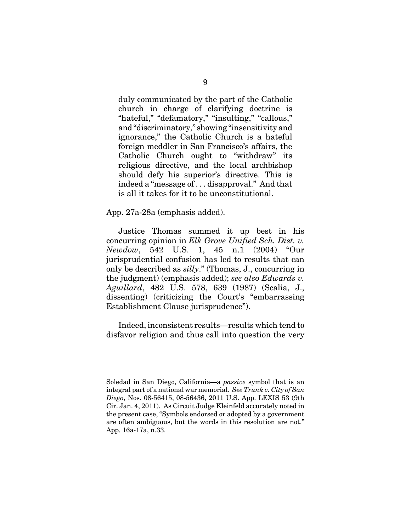duly communicated by the part of the Catholic church in charge of clarifying doctrine is "hateful," "defamatory," "insulting," "callous," and "discriminatory," showing "insensitivity and ignorance," the Catholic Church is a hateful foreign meddler in San Francisco's affairs, the Catholic Church ought to "withdraw" its religious directive, and the local archbishop should defy his superior's directive. This is indeed a "message of . . . disapproval." And that is all it takes for it to be unconstitutional.

App. 27a-28a (emphasis added).

Justice Thomas summed it up best in his concurring opinion in *Elk Grove Unified Sch. Dist. v. Newdow*, 542 U.S. 1, 45 n.1 (2004) "Our jurisprudential confusion has led to results that can only be described as *silly*." (Thomas, J., concurring in the judgment) (emphasis added); *see also Edwards v. Aguillard*, 482 U.S. 578, 639 (1987) (Scalia, J., dissenting) (criticizing the Court's "embarrassing Establishment Clause jurisprudence").

Indeed, inconsistent results—results which tend to disfavor religion and thus call into question the very

Soledad in San Diego, California—a *passive* symbol that is an integral part of a national war memorial. *See Trunk v. City of San Diego*, Nos. 08-56415, 08-56436, 2011 U.S. App. LEXIS 53 (9th Cir. Jan. 4, 2011). As Circuit Judge Kleinfeld accurately noted in the present case, "Symbols endorsed or adopted by a government are often ambiguous, but the words in this resolution are not." App. 16a-17a, n.33.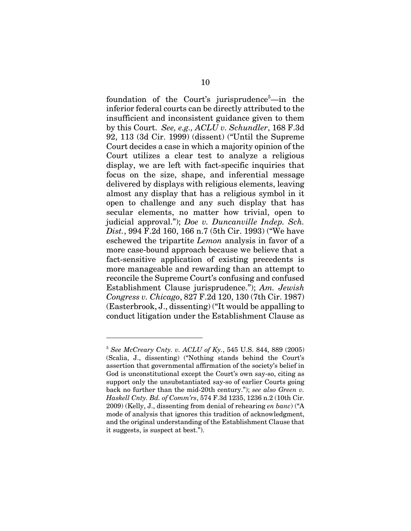foundation of the Court's jurisprudence<sup>5</sup>—in the inferior federal courts can be directly attributed to the insufficient and inconsistent guidance given to them by this Court. *See, e.g., ACLU v. Schundler*, 168 F.3d 92, 113 (3d Cir. 1999) (dissent) ("Until the Supreme Court decides a case in which a majority opinion of the Court utilizes a clear test to analyze a religious display, we are left with fact-specific inquiries that focus on the size, shape, and inferential message delivered by displays with religious elements, leaving almost any display that has a religious symbol in it open to challenge and any such display that has secular elements, no matter how trivial, open to judicial approval."); *Doe v. Duncanville Indep. Sch. Dist.*, 994 F.2d 160, 166 n.7 (5th Cir. 1993) ("We have eschewed the tripartite *Lemon* analysis in favor of a more case-bound approach because we believe that a fact-sensitive application of existing precedents is more manageable and rewarding than an attempt to reconcile the Supreme Court's confusing and confused Establishment Clause jurisprudence."); *Am. Jewish Congress v. Chicago*, 827 F.2d 120, 130 (7th Cir. 1987) (Easterbrook, J., dissenting) ("It would be appalling to conduct litigation under the Establishment Clause as

<sup>5</sup> *See McCreary Cnty. v. ACLU of Ky.*, 545 U.S. 844, 889 (2005) (Scalia, J., dissenting) ("Nothing stands behind the Court's assertion that governmental affirmation of the society's belief in God is unconstitutional except the Court's own say-so, citing as support only the unsubstantiated say-so of earlier Courts going back no further than the mid-20th century."); *see also Green v. Haskell Cnty. Bd. of Comm'rs*, 574 F.3d 1235, 1236 n.2 (10th Cir. 2009) (Kelly, J., dissenting from denial of rehearing *en banc*) ("A mode of analysis that ignores this tradition of acknowledgment, and the original understanding of the Establishment Clause that it suggests, is suspect at best.").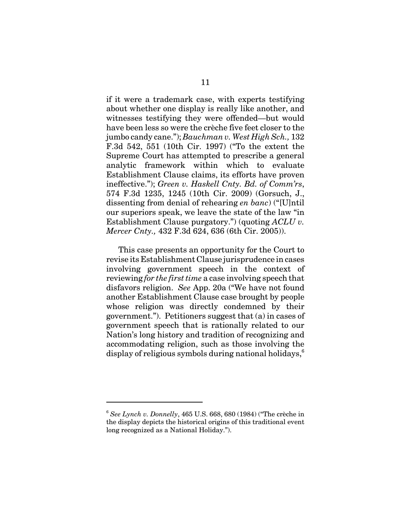if it were a trademark case, with experts testifying about whether one display is really like another, and witnesses testifying they were offended—but would have been less so were the crèche five feet closer to the jumbo candy cane."); *Bauchman v. West High Sch.,* 132 F.3d 542, 551 (10th Cir. 1997) ("To the extent the Supreme Court has attempted to prescribe a general analytic framework within which to evaluate Establishment Clause claims, its efforts have proven ineffective."); *Green v. Haskell Cnty. Bd. of Comm'rs*, 574 F.3d 1235, 1245 (10th Cir. 2009) (Gorsuch, J., dissenting from denial of rehearing *en banc*) ("[U]ntil our superiors speak, we leave the state of the law "in Establishment Clause purgatory.") (quoting *ACLU v. Mercer Cnty.,* 432 F.3d 624, 636 (6th Cir. 2005)).

This case presents an opportunity for the Court to revise its Establishment Clause jurisprudence in cases involving government speech in the context of reviewing *for the first time* a case involving speech that disfavors religion. *See* App. 20a ("We have not found another Establishment Clause case brought by people whose religion was directly condemned by their government."). Petitioners suggest that (a) in cases of government speech that is rationally related to our Nation's long history and tradition of recognizing and accommodating religion, such as those involving the display of religious symbols during national holidays, $^6$ 

<sup>6</sup> *See Lynch v. Donnelly*, 465 U.S. 668, 680 (1984) ("The crèche in the display depicts the historical origins of this traditional event long recognized as a National Holiday.").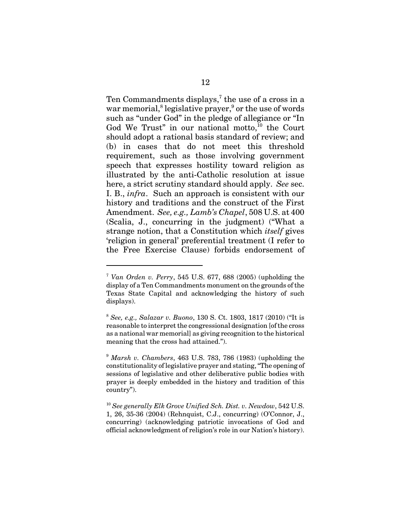Ten Commandments displays,<sup>7</sup> the use of a cross in a war memorial, $^8$  legislative prayer, $^9$  or the use of words such as "under God" in the pledge of allegiance or "In God We Trust" in our national motto, $^{10}$  the Court should adopt a rational basis standard of review; and (b) in cases that do not meet this threshold requirement, such as those involving government speech that expresses hostility toward religion as illustrated by the anti-Catholic resolution at issue here, a strict scrutiny standard should apply. *See* sec. I. B., *infra*. Such an approach is consistent with our history and traditions and the construct of the First Amendment. *See, e.g., Lamb's Chapel*, 508 U.S. at 400 (Scalia, J., concurring in the judgment) ("What a strange notion, that a Constitution which *itself* gives 'religion in general' preferential treatment (I refer to the Free Exercise Clause) forbids endorsement of

<sup>9</sup> *Marsh v. Chambers*, 463 U.S. 783, 786 (1983) (upholding the constitutionality of legislative prayer and stating, "The opening of sessions of legislative and other deliberative public bodies with prayer is deeply embedded in the history and tradition of this country").

<sup>10</sup> *See generally Elk Grove Unified Sch. Dist. v. Newdow*, 542 U.S. 1, 26, 35-36 (2004) (Rehnquist, C.J., concurring) (O'Connor, J., concurring) (acknowledging patriotic invocations of God and official acknowledgment of religion's role in our Nation's history).

<sup>7</sup> *Van Orden v. Perry*, 545 U.S. 677, 688 (2005) (upholding the display of a Ten Commandments monument on the grounds of the Texas State Capital and acknowledging the history of such displays).

<sup>8</sup> *See, e.g., Salazar v. Buono*, 130 S. Ct. 1803, 1817 (2010) ("It is reasonable to interpret the congressional designation [of the cross as a national war memorial] as giving recognition to the historical meaning that the cross had attained.").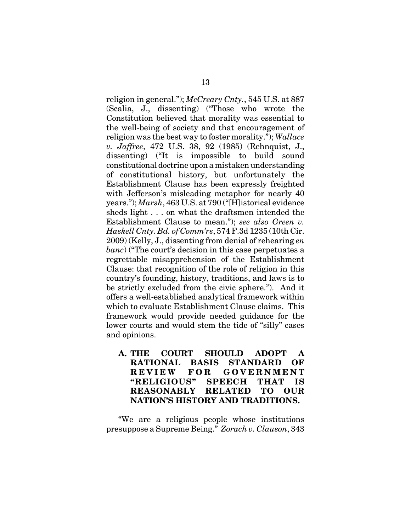religion in general."); *McCreary Cnty.*, 545 U.S. at 887 (Scalia, J., dissenting) ("Those who wrote the Constitution believed that morality was essential to the well-being of society and that encouragement of religion was the best way to foster morality."); *Wallace v. Jaffree*, 472 U.S. 38, 92 (1985) (Rehnquist, J., dissenting) ("It is impossible to build sound constitutional doctrine upon a mistaken understanding of constitutional history, but unfortunately the Establishment Clause has been expressly freighted with Jefferson's misleading metaphor for nearly 40 years."); *Marsh*, 463 U.S. at 790 ("[H]istorical evidence sheds light . . . on what the draftsmen intended the Establishment Clause to mean."); *see also Green v. Haskell Cnty. Bd. of Comm'rs*, 574 F.3d 1235 (10th Cir. 2009) (Kelly, J., dissenting from denial of rehearing *en banc*) ("The court's decision in this case perpetuates a regrettable misapprehension of the Establishment Clause: that recognition of the role of religion in this country's founding, history, traditions, and laws is to be strictly excluded from the civic sphere."). And it offers a well-established analytical framework within which to evaluate Establishment Clause claims. This framework would provide needed guidance for the lower courts and would stem the tide of "silly" cases and opinions.

**A. THE COURT SHOULD ADOPT A RATIONAL BASIS STANDARD OF REVIEW FOR GOVERNMENT "RELIGIOUS" SPEECH THAT IS REASONABLY RELATED TO OUR NATION'S HISTORY AND TRADITIONS.**

"We are a religious people whose institutions presuppose a Supreme Being." *Zorach v. Clauson*, 343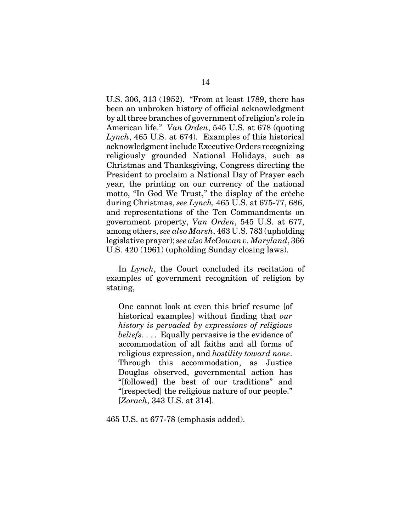U.S. 306, 313 (1952). "From at least 1789, there has been an unbroken history of official acknowledgment by all three branches of government of religion's role in American life." *Van Orden*, 545 U.S. at 678 (quoting *Lynch*, 465 U.S. at 674). Examples of this historical acknowledgment include Executive Orders recognizing religiously grounded National Holidays, such as Christmas and Thanksgiving, Congress directing the President to proclaim a National Day of Prayer each year, the printing on our currency of the national motto, "In God We Trust," the display of the crèche during Christmas, *see Lynch,* 465 U.S. at 675-77, 686, and representations of the Ten Commandments on government property, *Van Orden*, 545 U.S. at 677, among others, *see also Marsh*, 463 U.S. 783 (upholding legislative prayer); *see also McGowan v. Maryland*, 366 U.S. 420 (1961) (upholding Sunday closing laws).

In *Lynch*, the Court concluded its recitation of examples of government recognition of religion by stating,

One cannot look at even this brief resume [of historical examples] without finding that *our history is pervaded by expressions of religious beliefs*. . . . Equally pervasive is the evidence of accommodation of all faiths and all forms of religious expression, and *hostility toward none*. Through this accommodation, as Justice Douglas observed, governmental action has "[followed] the best of our traditions" and "[respected] the religious nature of our people." [*Zorach*, 343 U.S. at 314].

465 U.S. at 677-78 (emphasis added).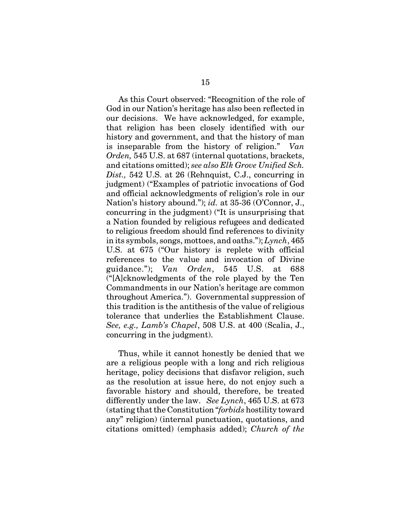As this Court observed: "Recognition of the role of God in our Nation's heritage has also been reflected in our decisions. We have acknowledged, for example, that religion has been closely identified with our history and government, and that the history of man is inseparable from the history of religion." *Van Orden,* 545 U.S. at 687 (internal quotations, brackets, and citations omitted); *see also Elk Grove Unified Sch. Dist.,* 542 U.S. at 26 (Rehnquist, C.J., concurring in judgment) ("Examples of patriotic invocations of God and official acknowledgments of religion's role in our Nation's history abound."); *id.* at 35-36 (O'Connor, J., concurring in the judgment) ("It is unsurprising that a Nation founded by religious refugees and dedicated to religious freedom should find references to divinity in its symbols, songs, mottoes, and oaths."); *Lynch*, 465 U.S. at 675 ("Our history is replete with official references to the value and invocation of Divine guidance."); *Van Orden*, 545 U.S. at 688 ("[A]cknowledgments of the role played by the Ten Commandments in our Nation's heritage are common throughout America."). Governmental suppression of this tradition is the antithesis of the value of religious tolerance that underlies the Establishment Clause. *See, e.g., Lamb's Chapel*, 508 U.S. at 400 (Scalia, J., concurring in the judgment).

Thus, while it cannot honestly be denied that we are a religious people with a long and rich religious heritage, policy decisions that disfavor religion, such as the resolution at issue here, do not enjoy such a favorable history and should, therefore, be treated differently under the law. *See Lynch*, 465 U.S. at 673 (stating that the Constitution "*forbids* hostility toward any" religion) (internal punctuation, quotations, and citations omitted) (emphasis added); *Church of the*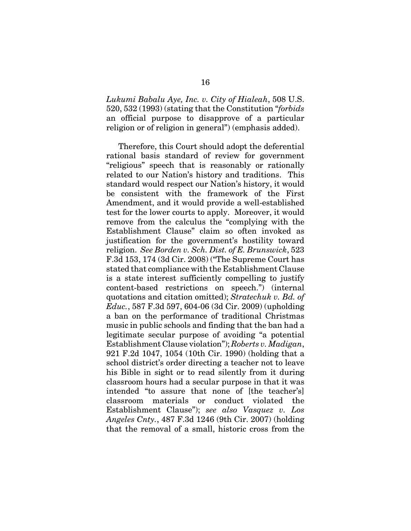*Lukumi Babalu Aye, Inc. v. City of Hialeah*, 508 U.S. 520, 532 (1993) (stating that the Constitution "*forbids* an official purpose to disapprove of a particular religion or of religion in general") (emphasis added).

Therefore, this Court should adopt the deferential rational basis standard of review for government "religious" speech that is reasonably or rationally related to our Nation's history and traditions. This standard would respect our Nation's history, it would be consistent with the framework of the First Amendment, and it would provide a well-established test for the lower courts to apply. Moreover, it would remove from the calculus the "complying with the Establishment Clause" claim so often invoked as justification for the government's hostility toward religion. *See Borden v. Sch. Dist. of E. Brunswick*, 523 F.3d 153, 174 (3d Cir. 2008) ("The Supreme Court has stated that compliance with the Establishment Clause is a state interest sufficiently compelling to justify content-based restrictions on speech.") (internal quotations and citation omitted); *Stratechuk v. Bd. of Educ.*, 587 F.3d 597, 604-06 (3d Cir. 2009) (upholding a ban on the performance of traditional Christmas music in public schools and finding that the ban had a legitimate secular purpose of avoiding "a potential Establishment Clause violation"); *Roberts v. Madigan*, 921 F.2d 1047, 1054 (10th Cir. 1990) (holding that a school district's order directing a teacher not to leave his Bible in sight or to read silently from it during classroom hours had a secular purpose in that it was intended "to assure that none of [the teacher's] classroom materials or conduct violated the Establishment Clause"); *see also Vasquez v. Los Angeles Cnty.*, 487 F.3d 1246 (9th Cir. 2007) (holding that the removal of a small, historic cross from the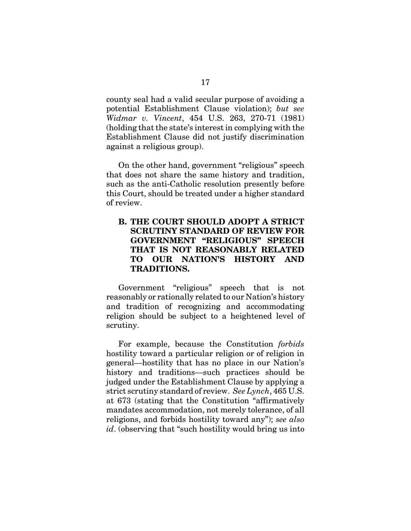county seal had a valid secular purpose of avoiding a potential Establishment Clause violation); *but see Widmar v. Vincent*, 454 U.S. 263, 270-71 (1981) (holding that the state's interest in complying with the Establishment Clause did not justify discrimination against a religious group).

On the other hand, government "religious" speech that does not share the same history and tradition, such as the anti-Catholic resolution presently before this Court, should be treated under a higher standard of review.

## **B. THE COURT SHOULD ADOPT A STRICT SCRUTINY STANDARD OF REVIEW FOR GOVERNMENT "RELIGIOUS" SPEECH THAT IS NOT REASONABLY RELATED TO OUR NATION'S HISTORY AND TRADITIONS.**

Government "religious" speech that is not reasonably or rationally related to our Nation's history and tradition of recognizing and accommodating religion should be subject to a heightened level of scrutiny.

For example, because the Constitution *forbids* hostility toward a particular religion or of religion in general—hostility that has no place in our Nation's history and traditions—such practices should be judged under the Establishment Clause by applying a strict scrutiny standard of review. *See Lynch*, 465 U.S. at 673 (stating that the Constitution "affirmatively mandates accommodation, not merely tolerance, of all religions, and forbids hostility toward any"); *see also id*. (observing that "such hostility would bring us into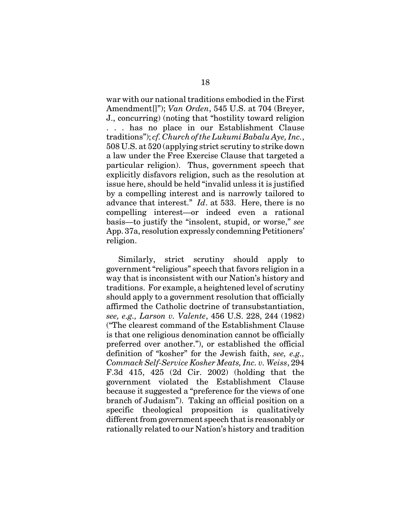war with our national traditions embodied in the First Amendment[]"); *Van Orden*, 545 U.S. at 704 (Breyer, J., concurring) (noting that "hostility toward religion . . . has no place in our Establishment Clause traditions"); *cf. Church of the Lukumi Babalu Aye, Inc.*, 508 U.S. at 520 (applying strict scrutiny to strike down a law under the Free Exercise Clause that targeted a particular religion). Thus, government speech that explicitly disfavors religion, such as the resolution at issue here, should be held "invalid unless it is justified by a compelling interest and is narrowly tailored to advance that interest." *Id*. at 533. Here, there is no compelling interest—or indeed even a rational basis—to justify the "insolent, stupid, or worse," *see* App. 37a, resolution expressly condemning Petitioners' religion.

Similarly, strict scrutiny should apply to government "religious" speech that favors religion in a way that is inconsistent with our Nation's history and traditions. For example, a heightened level of scrutiny should apply to a government resolution that officially affirmed the Catholic doctrine of transubstantiation, *see, e.g., Larson v. Valente*, 456 U.S. 228, 244 (1982) ("The clearest command of the Establishment Clause is that one religious denomination cannot be officially preferred over another."), or established the official definition of "kosher" for the Jewish faith, *see, e.g., Commack Self-Service Kosher Meats, Inc. v. Weiss*, 294 F.3d 415, 425 (2d Cir. 2002) (holding that the government violated the Establishment Clause because it suggested a "preference for the views of one branch of Judaism"). Taking an official position on a specific theological proposition is qualitatively different from government speech that is reasonably or rationally related to our Nation's history and tradition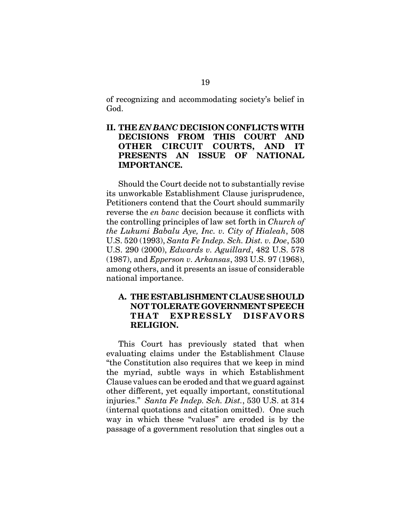of recognizing and accommodating society's belief in God.

## **II. THE** *EN BANC* **DECISION CONFLICTS WITH DECISIONS FROM THIS COURT AND OTHER CIRCUIT COURTS, AND IT PRESENTS AN ISSUE OF NATIONAL IMPORTANCE.**

Should the Court decide not to substantially revise its unworkable Establishment Clause jurisprudence, Petitioners contend that the Court should summarily reverse the *en banc* decision because it conflicts with the controlling principles of law set forth in *Church of the Lukumi Babalu Aye, Inc. v. City of Hialeah*, 508 U.S. 520 (1993), *Santa Fe Indep. Sch. Dist. v. Doe*, 530 U.S. 290 (2000), *Edwards v. Aguillard*, 482 U.S. 578 (1987), and *Epperson v. Arkansas*, 393 U.S. 97 (1968), among others, and it presents an issue of considerable national importance.

## **A. THE ESTABLISHMENT CLAUSE SHOULD NOT TOLERATE GOVERNMENT SPEECH THAT EXPRESSLY DISFAVORS RELIGION.**

This Court has previously stated that when evaluating claims under the Establishment Clause "the Constitution also requires that we keep in mind the myriad, subtle ways in which Establishment Clause values can be eroded and that we guard against other different, yet equally important, constitutional injuries." *Santa Fe Indep. Sch. Dist.*, 530 U.S. at 314 (internal quotations and citation omitted). One such way in which these "values" are eroded is by the passage of a government resolution that singles out a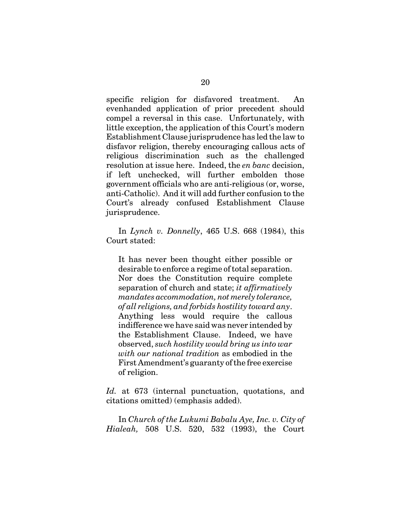specific religion for disfavored treatment. An evenhanded application of prior precedent should compel a reversal in this case. Unfortunately, with little exception, the application of this Court's modern Establishment Clause jurisprudence has led the law to disfavor religion, thereby encouraging callous acts of religious discrimination such as the challenged resolution at issue here. Indeed, the *en banc* decision, if left unchecked, will further embolden those government officials who are anti-religious (or, worse, anti-Catholic). And it will add further confusion to the Court's already confused Establishment Clause jurisprudence.

In *Lynch v. Donnelly*, 465 U.S. 668 (1984), this Court stated:

It has never been thought either possible or desirable to enforce a regime of total separation. Nor does the Constitution require complete separation of church and state; *it affirmatively mandates accommodation, not merely tolerance, of all religions, and forbids hostility toward any*. Anything less would require the callous indifference we have said was never intended by the Establishment Clause. Indeed, we have observed, *such hostility would bring us into war with our national tradition* as embodied in the First Amendment's guaranty of the free exercise of religion.

*Id.* at 673 (internal punctuation, quotations, and citations omitted) (emphasis added).

In *Church of the Lukumi Babalu Aye, Inc. v. City of Hialeah,* 508 U.S. 520, 532 (1993), the Court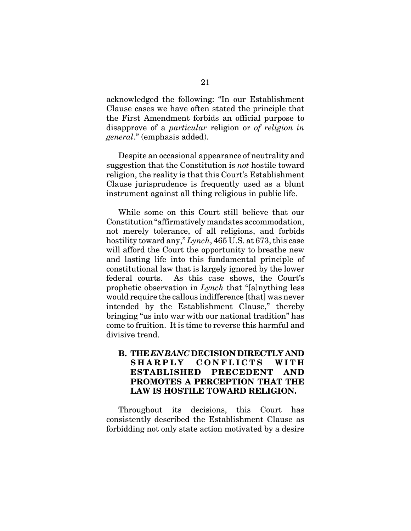acknowledged the following: "In our Establishment Clause cases we have often stated the principle that the First Amendment forbids an official purpose to disapprove of a *particular* religion or *of religion in general*." (emphasis added).

Despite an occasional appearance of neutrality and suggestion that the Constitution is *not* hostile toward religion, the reality is that this Court's Establishment Clause jurisprudence is frequently used as a blunt instrument against all thing religious in public life.

While some on this Court still believe that our Constitution "affirmatively mandates accommodation, not merely tolerance, of all religions, and forbids hostility toward any," *Lynch*, 465 U.S. at 673, this case will afford the Court the opportunity to breathe new and lasting life into this fundamental principle of constitutional law that is largely ignored by the lower federal courts. As this case shows, the Court's prophetic observation in *Lynch* that "[a]nything less would require the callous indifference [that] was never intended by the Establishment Clause," thereby bringing "us into war with our national tradition" has come to fruition. It is time to reverse this harmful and divisive trend.

## **B. THE** *EN BANC* **DECISION DIRECTLY AND SHARPLY CONFLICTS WITH ESTABLISHED PRECEDENT AND PROMOTES A PERCEPTION THAT THE LAW IS HOSTILE TOWARD RELIGION.**

Throughout its decisions, this Court has consistently described the Establishment Clause as forbidding not only state action motivated by a desire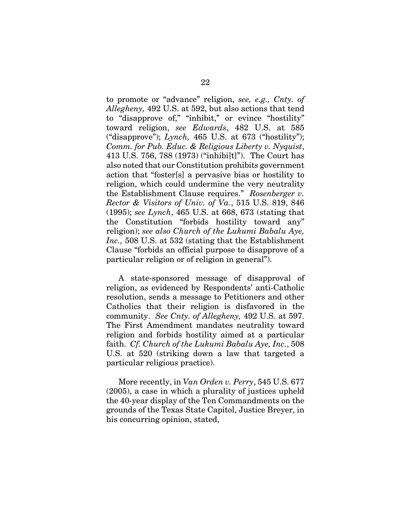to promote or "advance" religion, *see, e.g., Cnty. of Allegheny,* 492 U.S. at 592, but also actions that tend to "disapprove of," "inhibit," or evince "hostility" toward religion, *see Edwards*, 482 U.S. at 585 ("disapprove"); *Lynch,* 465 U.S. at 673 ("hostility"); *Comm. for Pub. Educ. & Religious Liberty v. Nyquist*, 413 U.S. 756, 788 (1973) ("inhibi[t]"). The Court has also noted that our Constitution prohibits government action that "foster[s] a pervasive bias or hostility to religion, which could undermine the very neutrality the Establishment Clause requires." *Rosenberger v. Rector & Visitors of Univ. of Va.*, 515 U.S. 819, 846 (1995); *see Lynch*, 465 U.S. at 668, 673 (stating that the Constitution "forbids hostility toward any" religion); *see also Church of the Lukumi Babalu Aye, Inc.,* 508 U.S. at 532 (stating that the Establishment Clause "forbids an official purpose to disapprove of a particular religion or of religion in general").

A state-sponsored message of disapproval of religion, as evidenced by Respondents' anti-Catholic resolution, sends a message to Petitioners and other Catholics that their religion is disfavored in the community. *See Cnty. of Allegheny,* 492 U.S. at 597. The First Amendment mandates neutrality toward religion and forbids hostility aimed at a particular faith. *Cf. Church of the Lukumi Babalu Aye, Inc.*, 508 U.S. at 520 (striking down a law that targeted a particular religious practice).

More recently, in *Van Orden v. Perry*, 545 U.S. 677 (2005), a case in which a plurality of justices upheld the 40-year display of the Ten Commandments on the grounds of the Texas State Capitol, Justice Breyer, in his concurring opinion, stated,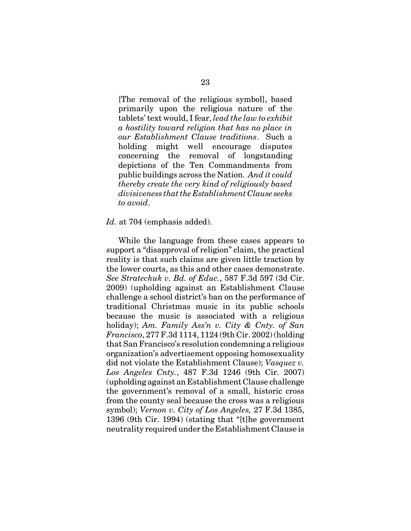[The removal of the religious symbol], based primarily upon the religious nature of the tablets' text would, I fear, *lead the law to exhibit a hostility toward religion that has no place in our Establishment Clause traditions*. Such a holding might well encourage disputes concerning the removal of longstanding depictions of the Ten Commandments from public buildings across the Nation. *And it could thereby create the very kind of religiously based divisiveness that the Establishment Clause seeks to avoid*.

#### *Id.* at 704 (emphasis added).

While the language from these cases appears to support a "disapproval of religion" claim, the practical reality is that such claims are given little traction by the lower courts, as this and other cases demonstrate. *See Stratechuk v. Bd. of Educ.*, 587 F.3d 597 (3d Cir. 2009) (upholding against an Establishment Clause challenge a school district's ban on the performance of traditional Christmas music in its public schools because the music is associated with a religious holiday); *Am. Family Ass'n v. City & Cnty. of San Francisco*, 277 F.3d 1114, 1124 (9th Cir. 2002) (holding that San Francisco's resolution condemning a religious organization's advertisement opposing homosexuality did not violate the Establishment Clause); *Vasquez v. Los Angeles Cnty.*, 487 F.3d 1246 (9th Cir. 2007) (upholding against an Establishment Clause challenge the government's removal of a small, historic cross from the county seal because the cross was a religious symbol); *Vernon v. City of Los Angeles,* 27 F.3d 1385, 1396 (9th Cir. 1994) (stating that "[t]he government neutrality required under the Establishment Clause is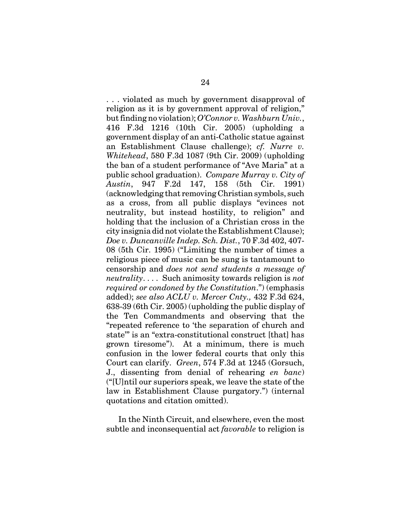. . . violated as much by government disapproval of religion as it is by government approval of religion," but finding no violation); *O'Connor v. Washburn Univ.*, 416 F.3d 1216 (10th Cir. 2005) (upholding a government display of an anti-Catholic statue against an Establishment Clause challenge); *cf. Nurre v. Whitehead*, 580 F.3d 1087 (9th Cir. 2009) (upholding the ban of a student performance of "Ave Maria" at a public school graduation). *Compare Murray v. City of Austin*, 947 F.2d 147, 158 (5th Cir. 1991) (acknowledging that removing Christian symbols, such as a cross, from all public displays "evinces not neutrality, but instead hostility, to religion" and holding that the inclusion of a Christian cross in the city insignia did not violate the Establishment Clause); *Doe v. Duncanville Indep. Sch. Dist.*, 70 F.3d 402, 407- 08 (5th Cir. 1995) ("Limiting the number of times a religious piece of music can be sung is tantamount to censorship and *does not send students a message of neutrality*. . . . Such animosity towards religion is *not required or condoned by the Constitution*.") (emphasis added); *see also ACLU v. Mercer Cnty.,* 432 F.3d 624, 638-39 (6th Cir. 2005) (upholding the public display of the Ten Commandments and observing that the "repeated reference to 'the separation of church and state'" is an "extra-constitutional construct [that] has grown tiresome"). At a minimum, there is much confusion in the lower federal courts that only this Court can clarify. *Green*, 574 F.3d at 1245 (Gorsuch, J., dissenting from denial of rehearing *en banc*) ("[U]ntil our superiors speak, we leave the state of the law in Establishment Clause purgatory.") (internal quotations and citation omitted).

In the Ninth Circuit, and elsewhere, even the most subtle and inconsequential act *favorable* to religion is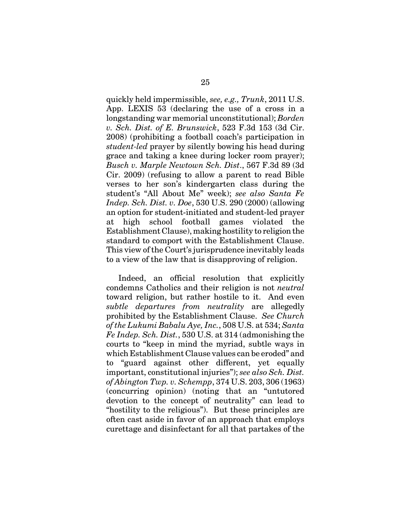quickly held impermissible, *see, e.g., Trunk*, 2011 U.S. App. LEXIS 53 (declaring the use of a cross in a longstanding war memorial unconstitutional); *Borden v. Sch. Dist. of E. Brunswick*, 523 F.3d 153 (3d Cir. 2008) (prohibiting a football coach's participation in *student-led* prayer by silently bowing his head during grace and taking a knee during locker room prayer); *Busch v. Marple Newtown Sch. Dist*., 567 F.3d 89 (3d Cir. 2009) (refusing to allow a parent to read Bible verses to her son's kindergarten class during the student's "All About Me" week); *see also Santa Fe Indep. Sch. Dist. v. Doe*, 530 U.S. 290 (2000) (allowing an option for student-initiated and student-led prayer at high school football games violated the Establishment Clause), making hostility to religion the standard to comport with the Establishment Clause. This view of the Court's jurisprudence inevitably leads to a view of the law that is disapproving of religion.

Indeed, an official resolution that explicitly condemns Catholics and their religion is not *neutral* toward religion, but rather hostile to it. And even *subtle departures from neutrality* are allegedly prohibited by the Establishment Clause. *See Church of the Lukumi Babalu Aye, Inc.*, 508 U.S. at 534; *Santa Fe Indep. Sch. Dist.*, 530 U.S. at 314 (admonishing the courts to "keep in mind the myriad, subtle ways in which Establishment Clause values can be eroded" and to "guard against other different, yet equally important, constitutional injuries"); *see also Sch. Dist. of Abington Twp. v. Schempp*, 374 U.S. 203, 306 (1963) (concurring opinion) (noting that an "untutored devotion to the concept of neutrality" can lead to "hostility to the religious"). But these principles are often cast aside in favor of an approach that employs curettage and disinfectant for all that partakes of the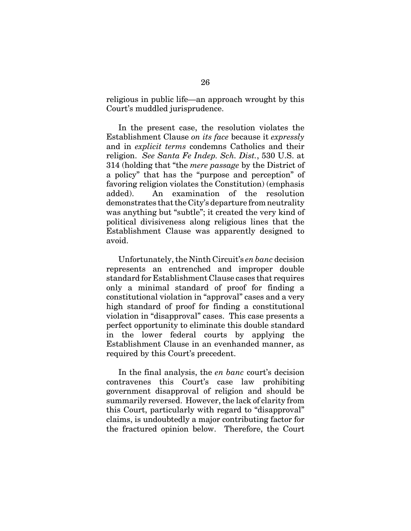religious in public life—an approach wrought by this Court's muddled jurisprudence.

In the present case, the resolution violates the Establishment Clause *on its face* because it *expressly* and in *explicit terms* condemns Catholics and their religion. *See Santa Fe Indep. Sch. Dist.*, 530 U.S. at 314 (holding that "the *mere passage* by the District of a policy" that has the "purpose and perception" of favoring religion violates the Constitution) (emphasis added). An examination of the resolution demonstrates that the City's departure from neutrality was anything but "subtle"; it created the very kind of political divisiveness along religious lines that the Establishment Clause was apparently designed to avoid.

Unfortunately, the Ninth Circuit's *en banc* decision represents an entrenched and improper double standard for Establishment Clause cases that requires only a minimal standard of proof for finding a constitutional violation in "approval" cases and a very high standard of proof for finding a constitutional violation in "disapproval" cases. This case presents a perfect opportunity to eliminate this double standard in the lower federal courts by applying the Establishment Clause in an evenhanded manner, as required by this Court's precedent.

In the final analysis, the *en banc* court's decision contravenes this Court's case law prohibiting government disapproval of religion and should be summarily reversed. However, the lack of clarity from this Court, particularly with regard to "disapproval" claims, is undoubtedly a major contributing factor for the fractured opinion below. Therefore, the Court